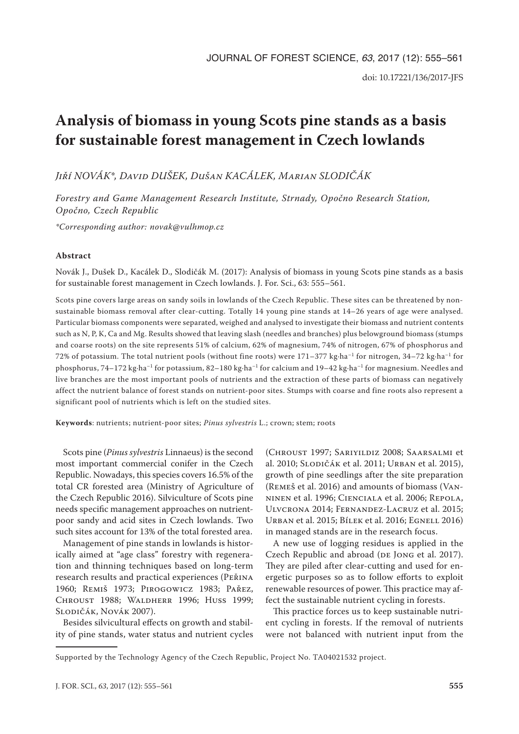# **Analysis of biomass in young Scots pine stands as a basis for sustainable forest management in Czech lowlands**

*Jiří NOVÁK\*, David DUŠEK, Dušan KACÁLEK, Marian SLODIČÁK*

*Forestry and Game Management Research Institute, Strnady, Opočno Research Station, Opočno, Czech Republic*

*\*Corresponding author: novak@vulhmop.cz*

# **Abstract**

Novák J., Dušek D., Kacálek D., Slodičák M. (2017): Analysis of biomass in young Scots pine stands as a basis for sustainable forest management in Czech lowlands. J. For. Sci., 63: 555–561.

Scots pine covers large areas on sandy soils in lowlands of the Czech Republic. These sites can be threatened by nonsustainable biomass removal after clear-cutting. Totally 14 young pine stands at 14–26 years of age were analysed. Particular biomass components were separated, weighed and analysed to investigate their biomass and nutrient contents such as N, P, K, Ca and Mg. Results showed that leaving slash (needles and branches) plus belowground biomass (stumps and coarse roots) on the site represents 51% of calcium, 62% of magnesium, 74% of nitrogen, 67% of phosphorus and 72% of potassium. The total nutrient pools (without fine roots) were 171-377 kg·ha<sup>-1</sup> for nitrogen, 34-72 kg·ha<sup>-1</sup> for phosphorus, 74–172 kg·ha–1 for potassium, 82–180 kg·ha–1 for calcium and 19–42 kg·ha–1 for magnesium. Needles and live branches are the most important pools of nutrients and the extraction of these parts of biomass can negatively affect the nutrient balance of forest stands on nutrient-poor sites. Stumps with coarse and fine roots also represent a significant pool of nutrients which is left on the studied sites.

**Keywords**: nutrients; nutrient-poor sites; *Pinus sylvestris* L.; crown; stem; roots

Scots pine (*Pinus sylvestris* Linnaeus) is the second most important commercial conifer in the Czech Republic. Nowadays, this species covers 16.5% of the total CR forested area (Ministry of Agriculture of the Czech Republic 2016). Silviculture of Scots pine needs specific management approaches on nutrientpoor sandy and acid sites in Czech lowlands. Two such sites account for 13% of the total forested area.

Management of pine stands in lowlands is historically aimed at "age class" forestry with regeneration and thinning techniques based on long-term research results and practical experiences (Peřina 1960; Remiš 1973; Pirogowicz 1983; Pařez, Chroust 1988; Waldherr 1996; Huss 1999; Slodičák, Novák 2007).

Besides silvicultural effects on growth and stability of pine stands, water status and nutrient cycles

(Chroust 1997; Sariyildiz 2008; Saarsalmi et al. 2010; Slodičák et al. 2011; Urban et al. 2015), growth of pine seedlings after the site preparation (Remeš et al. 2016) and amounts of biomass (Vanninen et al. 1996; Cienciala et al. 2006; Repola, Ulvcrona 2014; Fernandez-Lacruz et al. 2015; Urban et al. 2015; Bílek et al. 2016; Egnell 2016) in managed stands are in the research focus.

A new use of logging residues is applied in the Czech Republic and abroad (DE JONG et al. 2017). They are piled after clear-cutting and used for energetic purposes so as to follow efforts to exploit renewable resources of power. This practice may affect the sustainable nutrient cycling in forests.

This practice forces us to keep sustainable nutrient cycling in forests. If the removal of nutrients were not balanced with nutrient input from the

Supported by the Technology Agency of the Czech Republic, Project No. TA04021532 project.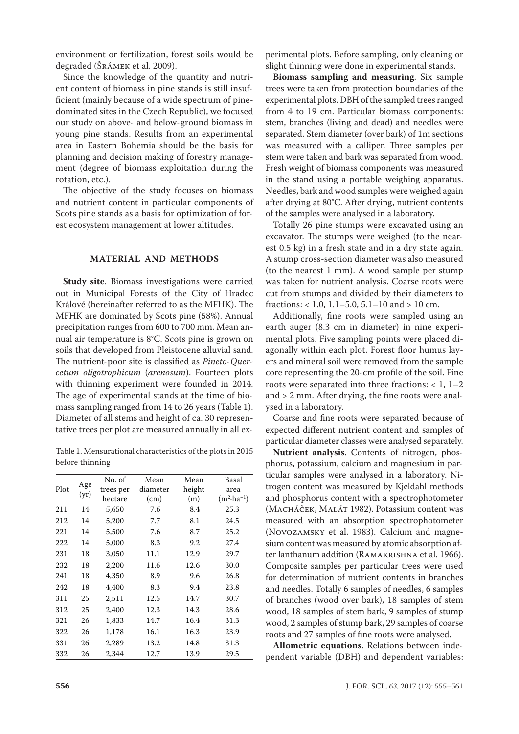environment or fertilization, forest soils would be degraded (Šrámek et al. 2009).

Since the knowledge of the quantity and nutrient content of biomass in pine stands is still insufficient (mainly because of a wide spectrum of pinedominated sites in the Czech Republic), we focused our study on above- and below-ground biomass in young pine stands. Results from an experimental area in Eastern Bohemia should be the basis for planning and decision making of forestry management (degree of biomass exploitation during the rotation, etc.).

The objective of the study focuses on biomass and nutrient content in particular components of Scots pine stands as a basis for optimization of forest ecosystem management at lower altitudes.

# **MATERIAL AND METHODS**

**Study site**. Biomass investigations were carried out in Municipal Forests of the City of Hradec Králové (hereinafter referred to as the MFHK). The MFHK are dominated by Scots pine (58%). Annual precipitation ranges from 600 to 700 mm. Mean annual air temperature is 8°C. Scots pine is grown on soils that developed from Pleistocene alluvial sand. The nutrient-poor site is classified as *Pineto*-*Quercetum oligotrophicum* (*arenosum*). Fourteen plots with thinning experiment were founded in 2014. The age of experimental stands at the time of biomass sampling ranged from 14 to 26 years (Table 1). Diameter of all stems and height of ca. 30 representative trees per plot are measured annually in all ex-

Table 1. Mensurational characteristics of the plots in 2015 before thinning

|      |             | No. of    | Mean     | Mean   | Basal                 |
|------|-------------|-----------|----------|--------|-----------------------|
| Plot | Age<br>(yr) | trees per | diameter | height | area                  |
|      |             | hectare   | (cm)     | (m)    | $(m^2 \cdot ha^{-1})$ |
| 211  | 14          | 5,650     | 7.6      | 8.4    | 25.3                  |
| 212  | 14          | 5,200     | 7.7      | 8.1    | 24.5                  |
| 221  | 14          | 5,500     | 7.6      | 8.7    | 25.2                  |
| 222  | 14          | 5,000     | 8.3      | 9.2    | 27.4                  |
| 231  | 18          | 3,050     | 11.1     | 12.9   | 29.7                  |
| 232  | 18          | 2,200     | 11.6     | 12.6   | 30.0                  |
| 241  | 18          | 4,350     | 8.9      | 9.6    | 26.8                  |
| 242  | 18          | 4,400     | 8.3      | 9.4    | 23.8                  |
| 311  | 25          | 2,511     | 12.5     | 14.7   | 30.7                  |
| 312  | 25          | 2,400     | 12.3     | 14.3   | 28.6                  |
| 321  | 26          | 1,833     | 14.7     | 16.4   | 31.3                  |
| 322  | 26          | 1,178     | 16.1     | 16.3   | 23.9                  |
| 331  | 26          | 2,289     | 13.2     | 14.8   | 31.3                  |
| 332  | 26          | 2,344     | 12.7     | 13.9   | 29.5                  |

perimental plots. Before sampling, only cleaning or slight thinning were done in experimental stands.

**Biomass sampling and measuring**. Six sample trees were taken from protection boundaries of the experimental plots. DBH of the sampled trees ranged from 4 to 19 cm. Particular biomass components: stem, branches (living and dead) and needles were separated. Stem diameter (over bark) of 1m sections was measured with a calliper. Three samples per stem were taken and bark was separated from wood. Fresh weight of biomass components was measured in the stand using a portable weighing apparatus. Needles, bark and wood samples were weighed again after drying at 80°C. After drying, nutrient contents of the samples were analysed in a laboratory.

Totally 26 pine stumps were excavated using an excavator. The stumps were weighed (to the nearest 0.5 kg) in a fresh state and in a dry state again. A stump cross-section diameter was also measured (to the nearest 1 mm). A wood sample per stump was taken for nutrient analysis. Coarse roots were cut from stumps and divided by their diameters to fractions:  $< 1.0, 1.1 - 5.0, 5.1 - 10$  and  $> 10$  cm.

Additionally, fine roots were sampled using an earth auger (8.3 cm in diameter) in nine experimental plots. Five sampling points were placed diagonally within each plot. Forest floor humus layers and mineral soil were removed from the sample core representing the 20-cm profile of the soil. Fine roots were separated into three fractions:  $< 1, 1-2$ and > 2 mm. After drying, the fine roots were analysed in a laboratory.

Coarse and fine roots were separated because of expected different nutrient content and samples of particular diameter classes were analysed separately.

**Nutrient analysis**. Contents of nitrogen, phosphorus, potassium, calcium and magnesium in particular samples were analysed in a laboratory. Nitrogen content was measured by Kjeldahl methods and phosphorus content with a spectrophotometer (Macháček, Malát 1982). Potassium content was measured with an absorption spectrophotometer (Novozamsky et al. 1983). Calcium and magnesium content was measured by atomic absorption after lanthanum addition (Ramakrishna et al. 1966). Composite samples per particular trees were used for determination of nutrient contents in branches and needles. Totally 6 samples of needles, 6 samples of branches (wood over bark), 18 samples of stem wood, 18 samples of stem bark, 9 samples of stump wood, 2 samples of stump bark, 29 samples of coarse roots and 27 samples of fine roots were analysed.

**Allometric equations**. Relations between independent variable (DBH) and dependent variables: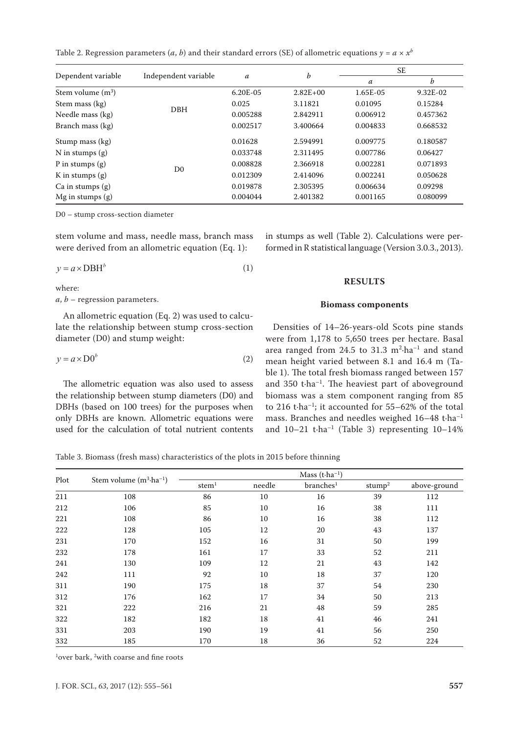Table 2. Regression parameters (*a*, *b*) and their standard errors (SE) of allometric equations  $y = a \times x^b$ 

|                      |                      | $\boldsymbol{b}$<br>a | SE.        |          |          |
|----------------------|----------------------|-----------------------|------------|----------|----------|
| Dependent variable   | Independent variable |                       | a          | b        |          |
| Stem volume $(m^3)$  |                      | $6.20E - 0.5$         | $2.82E+00$ | 1.65E-05 | 9.32E-02 |
| Stem mass (kg)       |                      | 0.025                 | 3.11821    | 0.01095  | 0.15284  |
| Needle mass (kg)     | <b>DBH</b>           | 0.005288              | 2.842911   | 0.006912 | 0.457362 |
| Branch mass (kg)     |                      | 0.002517              | 3.400664   | 0.004833 | 0.668532 |
| Stump mass (kg)      |                      | 0.01628               | 2.594991   | 0.009775 | 0.180587 |
| N in stumps $(g)$    |                      | 0.033748              | 2.311495   | 0.007786 | 0.06427  |
| P in stumps $(g)$    | D <sub>0</sub>       | 0.008828              | 2.366918   | 0.002281 | 0.071893 |
| K in stumps $(g)$    |                      | 0.012309              | 2.414096   | 0.002241 | 0.050628 |
| $Ca$ in stumps $(g)$ |                      | 0.019878              | 2.305395   | 0.006634 | 0.09298  |
| $Mg$ in stumps $(g)$ |                      | 0.004044              | 2.401382   | 0.001165 | 0.080099 |

D0 – stump cross-section diameter

stem volume and mass, needle mass, branch mass were derived from an allometric equation (Eq. 1):

$$
y = a \times DBH^{b} \tag{1}
$$

where:

*a*, *b* – regression parameters.

An allometric equation (Eq. 2) was used to calculate the relationship between stump cross-section diameter (D0) and stump weight:

$$
y = a \times D0^b \tag{2}
$$

The allometric equation was also used to assess the relationship between stump diameters (D0) and DBHs (based on 100 trees) for the purposes when only DBHs are known. Allometric equations were used for the calculation of total nutrient contents in stumps as well (Table 2). Calculations were performed in R statistical language (Version 3.0.3., 2013).

# **RESULTS**

# **Biomass components**

Densities of 14–26-years-old Scots pine stands were from 1,178 to 5,650 trees per hectare. Basal area ranged from  $24.5$  to  $31.3$   $m^2$ ·ha<sup>-1</sup> and stand mean height varied between 8.1 and 16.4 m (Table 1). The total fresh biomass ranged between 157 and 350 t·ha–1. The heaviest part of aboveground biomass was a stem component ranging from 85 to 216 t $\cdot$ ha<sup>-1</sup>; it accounted for 55–62% of the total mass. Branches and needles weighed 16–48 t·ha–1 and  $10-21$  t·ha<sup>-1</sup> (Table 3) representing  $10-14\%$ 

Table 3. Biomass (fresh mass) characteristics of the plots in 2015 before thinning

|      |                                   |                   |        | Mass $(t \cdot ha^{-1})$ |                    |              |
|------|-----------------------------------|-------------------|--------|--------------------------|--------------------|--------------|
| Plot | Stem volume $(m^3 \cdot ha^{-1})$ | stem <sup>1</sup> | needle | branches <sup>1</sup>    | stump <sup>2</sup> | above-ground |
| 211  | 108                               | 86                | 10     | 16                       | 39                 | 112          |
| 212  | 106                               | 85                | 10     | 16                       | 38                 | 111          |
| 221  | 108                               | 86                | 10     | 16                       | 38                 | 112          |
| 222  | 128                               | 105               | 12     | 20                       | 43                 | 137          |
| 231  | 170                               | 152               | 16     | 31                       | 50                 | 199          |
| 232  | 178                               | 161               | 17     | 33                       | 52                 | 211          |
| 241  | 130                               | 109               | 12     | 21                       | 43                 | 142          |
| 242  | 111                               | 92                | 10     | 18                       | 37                 | 120          |
| 311  | 190                               | 175               | 18     | 37                       | 54                 | 230          |
| 312  | 176                               | 162               | 17     | 34                       | 50                 | 213          |
| 321  | 222                               | 216               | 21     | 48                       | 59                 | 285          |
| 322  | 182                               | 182               | 18     | 41                       | 46                 | 241          |
| 331  | 203                               | 190               | 19     | 41                       | 56                 | 250          |
| 332  | 185                               | 170               | 18     | 36                       | 52                 | 224          |

<sup>1</sup>over bark, <sup>2</sup>with coarse and fine roots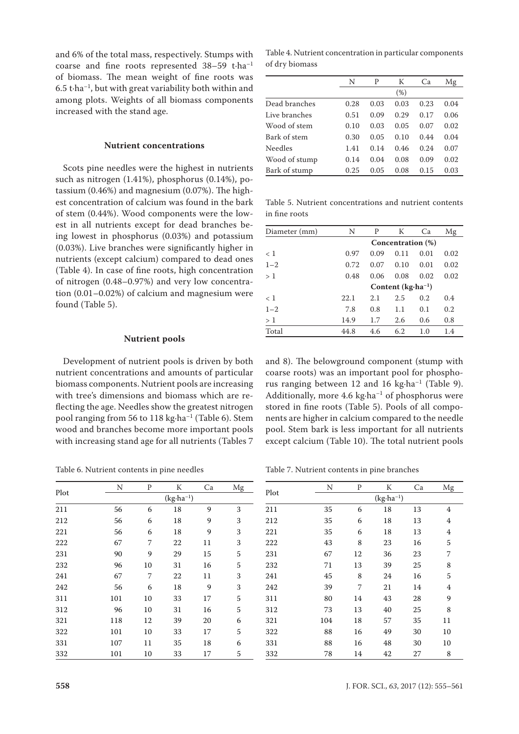and 6% of the total mass, respectively. Stumps with coarse and fine roots represented 38–59 t·ha–1 of biomass. The mean weight of fine roots was 6.5 t $\cdot$ ha<sup>-1</sup>, but with great variability both within and among plots. Weights of all biomass components increased with the stand age.

## **Nutrient concentrations**

Scots pine needles were the highest in nutrients such as nitrogen (1.41%), phosphorus (0.14%), potassium (0.46%) and magnesium (0.07%). The highest concentration of calcium was found in the bark of stem (0.44%). Wood components were the lowest in all nutrients except for dead branches being lowest in phosphorus (0.03%) and potassium (0.03%). Live branches were significantly higher in nutrients (except calcium) compared to dead ones (Table 4). In case of fine roots, high concentration of nitrogen (0.48–0.97%) and very low concentration (0.01–0.02%) of calcium and magnesium were found (Table 5).

#### **Nutrient pools**

Development of nutrient pools is driven by both nutrient concentrations and amounts of particular biomass components. Nutrient pools are increasing with tree's dimensions and biomass which are reflecting the age. Needles show the greatest nitrogen pool ranging from 56 to 118 kg $\cdot$ ha<sup>-1</sup> (Table 6). Stem wood and branches become more important pools with increasing stand age for all nutrients (Tables 7

Table 6. Nutrient contents in pine needles

|      | N   | P                    | K  | Ca | Mg |  |  |  |  |
|------|-----|----------------------|----|----|----|--|--|--|--|
| Plot |     | $(kg \cdot ha^{-1})$ |    |    |    |  |  |  |  |
| 211  | 56  | 6                    | 18 | 9  | 3  |  |  |  |  |
| 212  | 56  | 6                    | 18 | 9  | 3  |  |  |  |  |
| 221  | 56  | 6                    | 18 | 9  | 3  |  |  |  |  |
| 222  | 67  | 7                    | 22 | 11 | 3  |  |  |  |  |
| 231  | 90  | 9                    | 29 | 15 | 5  |  |  |  |  |
| 232  | 96  | 10                   | 31 | 16 | 5  |  |  |  |  |
| 241  | 67  | 7                    | 22 | 11 | 3  |  |  |  |  |
| 242  | 56  | 6                    | 18 | 9  | 3  |  |  |  |  |
| 311  | 101 | 10                   | 33 | 17 | 5  |  |  |  |  |
| 312  | 96  | 10                   | 31 | 16 | 5  |  |  |  |  |
| 321  | 118 | 12                   | 39 | 20 | 6  |  |  |  |  |
| 322  | 101 | 10                   | 33 | 17 | 5  |  |  |  |  |
| 331  | 107 | 11                   | 35 | 18 | 6  |  |  |  |  |
| 332  | 101 | 10                   | 33 | 17 | 5  |  |  |  |  |

Table 4. Nutrient concentration in particular components of dry biomass

|               | N    | P    | К    | Ca   | Mg   |
|---------------|------|------|------|------|------|
|               |      |      | (%)  |      |      |
| Dead branches | 0.28 | 0.03 | 0.03 | 0.23 | 0.04 |
| Live branches | 0.51 | 0.09 | 0.29 | 0.17 | 0.06 |
| Wood of stem  | 0.10 | 0.03 | 0.05 | 0.07 | 0.02 |
| Bark of stem  | 0.30 | 0.05 | 0.10 | 0.44 | 0.04 |
| Needles       | 1.41 | 0.14 | 0.46 | 0.24 | 0.07 |
| Wood of stump | 0.14 | 0.04 | 0.08 | 0.09 | 0.02 |
| Bark of stump | 0.25 | 0.05 | 0.08 | 0.15 | 0.03 |
|               |      |      |      |      |      |

Table 5. Nutrient concentrations and nutrient contents in fine roots

| Diameter (mm) | N    | P    | К                            | Ca                | Mg   |  |  |  |
|---------------|------|------|------------------------------|-------------------|------|--|--|--|
|               |      |      |                              | Concentration (%) |      |  |  |  |
| < 1           | 0.97 | 0.09 | 0.11                         | 0.01              | 0.02 |  |  |  |
| $1 - 2$       | 0.72 | 0.07 | 0.10                         | 0.01              | 0.02 |  |  |  |
| >1            | 0.48 | 0.06 | 0.08                         | 0.02              | 0.02 |  |  |  |
|               |      |      | Content $(kg \cdot ha^{-1})$ |                   |      |  |  |  |
| $\langle$ 1   | 22.1 | 2.1  | 2.5                          | 0.2               | 0.4  |  |  |  |
| $1 - 2$       | 7.8  | 0.8  | 1.1                          | 0.1               | 0.2  |  |  |  |
| >1            | 14.9 | 1.7  | 2.6                          | 0.6               | 0.8  |  |  |  |
| Total         | 44.8 | 4.6  | 6.2                          | 1.0               | 1.4  |  |  |  |

and 8). The belowground component (stump with coarse roots) was an important pool for phosphorus ranging between 12 and 16 kg $\cdot$ ha<sup>-1</sup> (Table 9). Additionally, more  $4.6 \text{ kg} \cdot \text{ha}^{-1}$  of phosphorus were stored in fine roots (Table 5). Pools of all components are higher in calcium compared to the needle pool. Stem bark is less important for all nutrients except calcium (Table 10). The total nutrient pools

Table 7. Nutrient contents in pine branches

| Plot | N   | P  | К                    | Ca | Mg |
|------|-----|----|----------------------|----|----|
|      |     |    | $(kg \cdot ha^{-1})$ |    |    |
| 211  | 35  | 6  | 18                   | 13 | 4  |
| 212  | 35  | 6  | 18                   | 13 | 4  |
| 221  | 35  | 6  | 18                   | 13 | 4  |
| 222  | 43  | 8  | 23                   | 16 | 5  |
| 231  | 67  | 12 | 36                   | 23 | 7  |
| 232  | 71  | 13 | 39                   | 25 | 8  |
| 241  | 45  | 8  | 24                   | 16 | 5  |
| 242  | 39  | 7  | 21                   | 14 | 4  |
| 311  | 80  | 14 | 43                   | 28 | 9  |
| 312  | 73  | 13 | 40                   | 25 | 8  |
| 321  | 104 | 18 | 57                   | 35 | 11 |
| 322  | 88  | 16 | 49                   | 30 | 10 |
| 331  | 88  | 16 | 48                   | 30 | 10 |
| 332  | 78  | 14 | 42                   | 27 | 8  |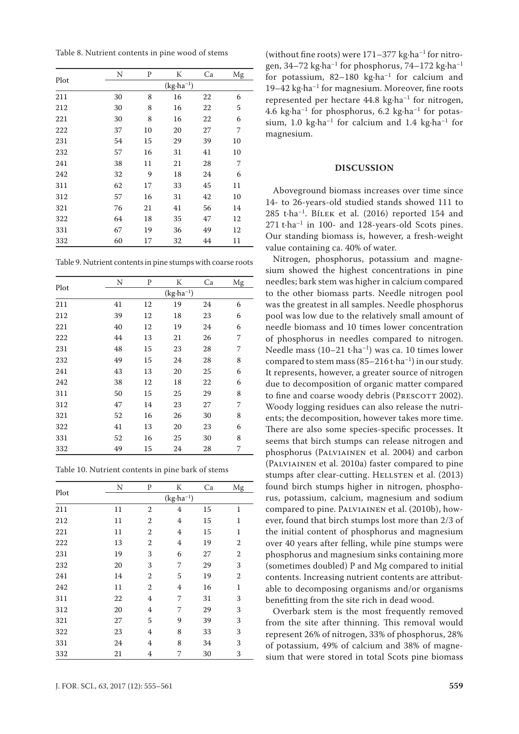Table 8. Nutrient contents in pine wood of stems

|      | N  | P  | K                    | Ca | Mg |
|------|----|----|----------------------|----|----|
| Plot |    |    | $(kg \cdot ha^{-1})$ |    |    |
| 211  | 30 | 8  | 16                   | 22 | 6  |
| 212  | 30 | 8  | 16                   | 22 | 5  |
| 221  | 30 | 8  | 16                   | 22 | 6  |
| 222  | 37 | 10 | 20                   | 27 | 7  |
| 231  | 54 | 15 | 29                   | 39 | 10 |
| 232  | 57 | 16 | 31                   | 41 | 10 |
| 241  | 38 | 11 | 21                   | 28 | 7  |
| 242  | 32 | 9  | 18                   | 24 | 6  |
| 311  | 62 | 17 | 33                   | 45 | 11 |
| 312  | 57 | 16 | 31                   | 42 | 10 |
| 321  | 76 | 21 | 41                   | 56 | 14 |
| 322  | 64 | 18 | 35                   | 47 | 12 |
| 331  | 67 | 19 | 36                   | 49 | 12 |
| 332  | 60 | 17 | 32                   | 44 | 11 |
|      |    |    |                      |    |    |

Table 9. Nutrient contents in pine stumps with coarse roots

|      | N  | P  | K                    | Ca | Mg |
|------|----|----|----------------------|----|----|
| Plot |    |    | $(kg \cdot ha^{-1})$ |    |    |
| 211  | 41 | 12 | 19                   | 24 | 6  |
| 212  | 39 | 12 | 18                   | 23 | 6  |
| 221  | 40 | 12 | 19                   | 24 | 6  |
| 222  | 44 | 13 | 21                   | 26 | 7  |
| 231  | 48 | 15 | 23                   | 28 | 7  |
| 232  | 49 | 15 | 24                   | 28 | 8  |
| 241  | 43 | 13 | 20                   | 25 | 6  |
| 242  | 38 | 12 | 18                   | 22 | 6  |
| 311  | 50 | 15 | 25                   | 29 | 8  |
| 312  | 47 | 14 | 23                   | 27 | 7  |
| 321  | 52 | 16 | 26                   | 30 | 8  |
| 322  | 41 | 13 | 20                   | 23 | 6  |
| 331  | 52 | 16 | 25                   | 30 | 8  |
| 332  | 49 | 15 | 24                   | 28 | 7  |

Table 10. Nutrient contents in pine bark of stems

|      | N  | P                | K                    | Ca | Mg             |
|------|----|------------------|----------------------|----|----------------|
| Plot |    |                  | $(kg \cdot ha^{-1})$ |    |                |
| 211  | 11 | $\overline{2}$   | 4                    | 15 | $\mathbf{1}$   |
| 212  | 11 | $\boldsymbol{2}$ | 4                    | 15 | $\mathbf{1}$   |
| 221  | 11 | $\overline{2}$   | 4                    | 15 | $\mathbf 1$    |
| 222  | 13 | 2                | 4                    | 19 | $\overline{2}$ |
| 231  | 19 | 3                | 6                    | 27 | $\overline{2}$ |
| 232  | 20 | 3                | 7                    | 29 | 3              |
| 241  | 14 | $\mathbf{2}$     | 5                    | 19 | $\overline{2}$ |
| 242  | 11 | 2                | 4                    | 16 | $\mathbf{1}$   |
| 311  | 22 | 4                | 7                    | 31 | 3              |
| 312  | 20 | 4                | 7                    | 29 | 3              |
| 321  | 27 | 5                | 9                    | 39 | 3              |
| 322  | 23 | 4                | 8                    | 33 | 3              |
| 331  | 24 | 4                | 8                    | 34 | 3              |
| 332  | 21 | 4                | 7                    | 30 | 3              |

(without fine roots) were  $171-377$  kg $\cdot$ ha<sup>-1</sup> for nitrogen, 34–72 kg·ha–1 for phosphorus, 74–172 kg·ha–1 for potassium,  $82-180$  kg·ha<sup>-1</sup> for calcium and 19–42 kg·ha<sup>-1</sup> for magnesium. Moreover, fine roots represented per hectare  $44.8 \text{ kg} \cdot \text{ha}^{-1}$  for nitrogen, 4.6 kg $\cdot$ ha<sup>-1</sup> for phosphorus, 6.2 kg $\cdot$ ha<sup>-1</sup> for potassium, 1.0 kg $\cdot$ ha<sup>-1</sup> for calcium and 1.4 kg $\cdot$ ha<sup>-1</sup> for magnesium.

## **DISCUSSION**

Aboveground biomass increases over time since 14- to 26-years-old studied stands showed 111 to 285 t·ha–1. Bílek et al. (2016) reported 154 and 271 t·ha–1 in 100- and 128-years-old Scots pines. Our standing biomass is, however, a fresh-weight value containing ca. 40% of water.

Nitrogen, phosphorus, potassium and magnesium showed the highest concentrations in pine needles; bark stem was higher in calcium compared to the other biomass parts. Needle nitrogen pool was the greatest in all samples. Needle phosphorus pool was low due to the relatively small amount of needle biomass and 10 times lower concentration of phosphorus in needles compared to nitrogen. Needle mass (10–21 t·ha–1) was ca. 10 times lower compared to stem mass  $(85-216 t \cdot ha^{-1})$  in our study. It represents, however, a greater source of nitrogen due to decomposition of organic matter compared to fine and coarse woody debris (PRESCOTT 2002). Woody logging residues can also release the nutrients; the decomposition, however takes more time. There are also some species-specific processes. It seems that birch stumps can release nitrogen and phosphorus (Palviainen et al. 2004) and carbon (Palviainen et al. 2010a) faster compared to pine stumps after clear-cutting. HELLSTEN et al. (2013) found birch stumps higher in nitrogen, phosphorus, potassium, calcium, magnesium and sodium compared to pine. Palviainen et al. (2010b), however, found that birch stumps lost more than 2/3 of the initial content of phosphorus and magnesium over 40 years after felling, while pine stumps were phosphorus and magnesium sinks containing more (sometimes doubled) P and Mg compared to initial contents. Increasing nutrient contents are attributable to decomposing organisms and/or organisms benefitting from the site rich in dead wood.

Overbark stem is the most frequently removed from the site after thinning. This removal would represent 26% of nitrogen, 33% of phosphorus, 28% of potassium, 49% of calcium and 38% of magnesium that were stored in total Scots pine biomass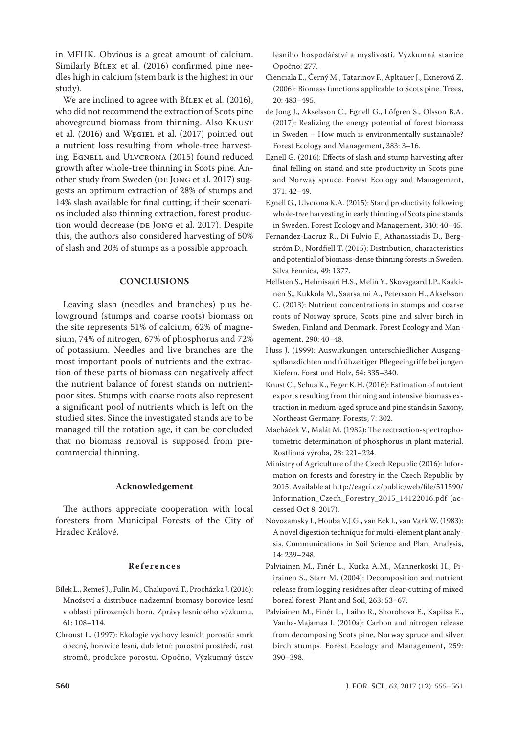in MFHK. Obvious is a great amount of calcium. Similarly BíLEK et al. (2016) confirmed pine needles high in calcium (stem bark is the highest in our study).

We are inclined to agree with BíLEK et al. (2016), who did not recommend the extraction of Scots pine aboveground biomass from thinning. Also KNUST et al. (2016) and Węgiel et al. (2017) pointed out a nutrient loss resulting from whole-tree harvesting. EGNELL and ULVCRONA (2015) found reduced growth after whole-tree thinning in Scots pine. Another study from Sweden (DE JONG et al. 2017) suggests an optimum extraction of 28% of stumps and 14% slash available for final cutting; if their scenarios included also thinning extraction, forest production would decrease (DE JONG et al. 2017). Despite this, the authors also considered harvesting of 50% of slash and 20% of stumps as a possible approach.

# **CONCLUSIONS**

Leaving slash (needles and branches) plus belowground (stumps and coarse roots) biomass on the site represents 51% of calcium, 62% of magnesium, 74% of nitrogen, 67% of phosphorus and 72% of potassium. Needles and live branches are the most important pools of nutrients and the extraction of these parts of biomass can negatively affect the nutrient balance of forest stands on nutrientpoor sites. Stumps with coarse roots also represent a significant pool of nutrients which is left on the studied sites. Since the investigated stands are to be managed till the rotation age, it can be concluded that no biomass removal is supposed from precommercial thinning.

## **Acknowledgement**

The authors appreciate cooperation with local foresters from Municipal Forests of the City of Hradec Králové.

## **References**

- Bílek L., Remeš J., Fulín M., Chalupová T., Procházka J. (2016): Množství a distribuce nadzemní biomasy borovice lesní v oblasti přirozených borů. Zprávy lesnického výzkumu, 61: 108–114.
- Chroust L. (1997): Ekologie výchovy lesních porostů: smrk obecný, borovice lesní, dub letní: porostní prostředí, růst stromů, produkce porostu. Opočno, Výzkumný ústav

lesního hospodářství a myslivosti, Výzkumná stanice Opočno: 277.

- Cienciala E., Černý M., Tatarinov F., Apltauer J., Exnerová Z. (2006): Biomass functions applicable to Scots pine. Trees, 20: 483–495.
- de Jong J., Akselsson C., Egnell G., Löfgren S., Olsson B.A. (2017): Realizing the energy potential of forest biomass in Sweden – How much is environmentally sustainable? Forest Ecology and Management, 383: 3–16.
- Egnell G. (2016): Effects of slash and stump harvesting after final felling on stand and site productivity in Scots pine and Norway spruce. Forest Ecology and Management, 371: 42–49.
- Egnell G., Ulvcrona K.A. (2015): Stand productivity following whole-tree harvesting in early thinning of Scots pine stands in Sweden. Forest Ecology and Management, 340: 40–45.
- Fernandez-Lacruz R., Di Fulvio F., Athanassiadis D., Bergström D., Nordfjell T. (2015): Distribution, characteristics and potential of biomass-dense thinning forests in Sweden. Silva Fennica, 49: 1377.
- Hellsten S., Helmisaari H.S., Melin Y., Skovsgaard J.P., Kaakinen S., Kukkola M., Saarsalmi A., Petersson H., Akselsson C. (2013): Nutrient concentrations in stumps and coarse roots of Norway spruce, Scots pine and silver birch in Sweden, Finland and Denmark. Forest Ecology and Management, 290: 40–48.
- Huss J. (1999): Auswirkungen unterschiedlicher Ausgangspflanzdichten und frühzeitiger Pflegeeingriffe bei jungen Kiefern. Forst und Holz, 54: 335–340.
- Knust C., Schua K., Feger K.H. (2016): Estimation of nutrient exports resulting from thinning and intensive biomass extraction in medium-aged spruce and pine stands in Saxony, Northeast Germany. Forests, 7: 302.
- Macháček V., Malát M. (1982): The rectraction-spectrophotometric determination of phosphorus in plant material. Rostlinná výroba, 28: 221–224.
- Ministry of Agriculture of the Czech Republic (2016): Information on forests and forestry in the Czech Republic by 2015. Available at http://eagri.cz/public/web/file/511590/ Information\_Czech\_Forestry\_2015\_14122016.pdf (accessed Oct 8, 2017).
- Novozamsky I., Houba V.J.G., van Eck I., van Vark W. (1983): A novel digestion technique for multi-element plant analysis. Communications in Soil Science and Plant Analysis, 14: 239–248.
- Palviainen M., Finér L., Kurka A.M., Mannerkoski H., Piirainen S., Starr M. (2004): Decomposition and nutrient release from logging residues after clear-cutting of mixed boreal forest. Plant and Soil, 263: 53–67.
- Palviainen M., Finér L., Laiho R., Shorohova E., Kapitsa E., Vanha-Majamaa I. (2010a): Carbon and nitrogen release from decomposing Scots pine, Norway spruce and silver birch stumps. Forest Ecology and Management, 259: 390–398.